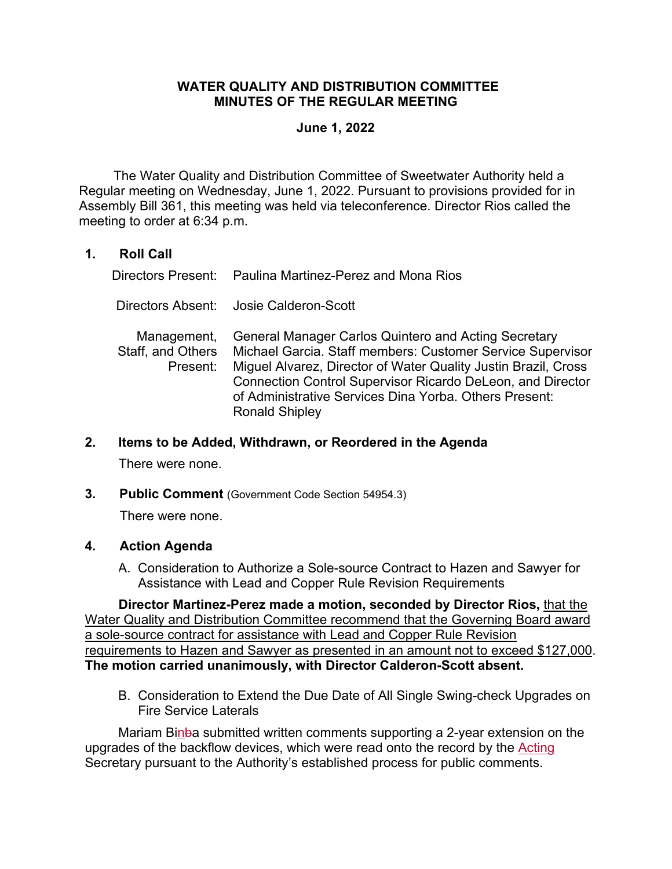# **WATER QUALITY AND DISTRIBUTION COMMITTEE MINUTES OF THE REGULAR MEETING**

### **June 1, 2022**

 The Water Quality and Distribution Committee of Sweetwater Authority held a Regular meeting on Wednesday, June 1, 2022. Pursuant to provisions provided for in Assembly Bill 361, this meeting was held via teleconference. Director Rios called the meeting to order at 6:34 p.m.

# **1. Roll Call**

Directors Present: Paulina Martinez-Perez and Mona Rios

Directors Absent: Josie Calderon-Scott

 Management, Staff, and Others Present: General Manager Carlos Quintero and Acting Secretary Michael Garcia. Staff members: Customer Service Supervisor Miguel Alvarez, Director of Water Quality Justin Brazil, Cross Connection Control Supervisor Ricardo DeLeon, and Director of Administrative Services Dina Yorba. Others Present: Ronald Shipley

#### **2. Items to be Added, Withdrawn, or Reordered in the Agenda**

There were none.

**3. Public Comment** (Government Code Section 54954.3)

There were none.

# **4. Action Agenda**

A. Consideration to Authorize a Sole-source Contract to Hazen and Sawyer for Assistance with Lead and Copper Rule Revision Requirements

**Director Martinez-Perez made a motion, seconded by Director Rios,** that the Water Quality and Distribution Committee recommend that the Governing Board award a sole-source contract for assistance with Lead and Copper Rule Revision requirements to Hazen and Sawyer as presented in an amount not to exceed \$127,000. **The motion carried unanimously, with Director Calderon-Scott absent.**

B. Consideration to Extend the Due Date of All Single Swing-check Upgrades on Fire Service Laterals

Mariam Binba submitted written comments supporting a 2-year extension on the upgrades of the backflow devices, which were read onto the record by the Acting Secretary pursuant to the Authority's established process for public comments.